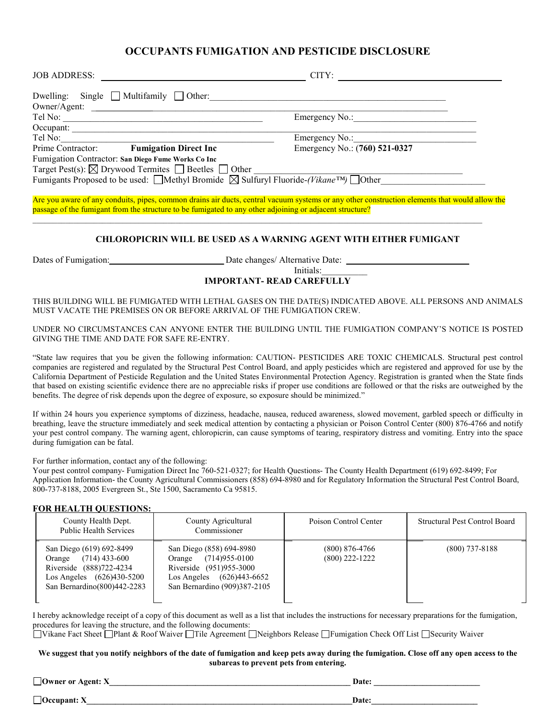### **OCCUPANTS FUMIGATION AND PESTICIDE DISCLOSURE**

| <b>JOB ADDRESS:</b>                                                                                                                                                                                                            | CITY:                                                                                                                                         |
|--------------------------------------------------------------------------------------------------------------------------------------------------------------------------------------------------------------------------------|-----------------------------------------------------------------------------------------------------------------------------------------------|
| Dwelling: Single Multifamily Other: 0.000 0ther: 0.000 0.000 0.000 0.000 0.000 0.000 0.000 0.000 0.000 0.000 0.000 0.000 0.000 0.000 0.000 0.000 0.000 0.000 0.000 0.000 0.000 0.000 0.000 0.000 0.000 0.000 0.000 0.000 0.000 |                                                                                                                                               |
|                                                                                                                                                                                                                                |                                                                                                                                               |
|                                                                                                                                                                                                                                |                                                                                                                                               |
| Occupant:                                                                                                                                                                                                                      |                                                                                                                                               |
| Tel No: Prime Contractor: Fumigation Direct Inc                                                                                                                                                                                |                                                                                                                                               |
|                                                                                                                                                                                                                                | Emergency No.: (760) 521-0327                                                                                                                 |
| Fumigation Contractor: San Diego Fume Works Co Inc                                                                                                                                                                             |                                                                                                                                               |
| Target Pest(s): $\boxtimes$ Drywood Termites $\Box$ Beetles $\Box$ Other $\Box$<br>Fumigants Proposed to be used: $\Box$ Methyl Bromide $\boxtimes$ Sulfuryl Fluoride-( <i>Vikane</i> <sup>TM</sup> ) $\Box$ Other             |                                                                                                                                               |
|                                                                                                                                                                                                                                |                                                                                                                                               |
| passage of the fumigant from the structure to be fumigated to any other adjoining or adjacent structure?                                                                                                                       | Are you aware of any conduits, pipes, common drains air ducts, central vacuum systems or any other construction elements that would allow the |
|                                                                                                                                                                                                                                | <b>CHLOROPICRIN WILL BE USED AS A WARNING AGENT WITH EITHER FUMIGANT</b>                                                                      |
| Dates of Funnigation: Date changes/ Alternative Date:                                                                                                                                                                          | Initials:<br><b>IMPORTANT- READ CAREFULLY</b>                                                                                                 |
|                                                                                                                                                                                                                                |                                                                                                                                               |

THIS BUILDING WILL BE FUMIGATED WITH LETHAL GASES ON THE DATE(S) INDICATED ABOVE. ALL PERSONS AND ANIMALS MUST VACATE THE PREMISES ON OR BEFORE ARRIVAL OF THE FUMIGATION CREW.

UNDER NO CIRCUMSTANCES CAN ANYONE ENTER THE BUILDING UNTIL THE FUMIGATION COMPANY'S NOTICE IS POSTED GIVING THE TIME AND DATE FOR SAFE RE-ENTRY.

"State law requires that you be given the following information: CAUTION- PESTICIDES ARE TOXIC CHEMICALS. Structural pest control companies are registered and regulated by the Structural Pest Control Board, and apply pesticides which are registered and approved for use by the California Department of Pesticide Regulation and the United States Environmental Protection Agency. Registration is granted when the State finds that based on existing scientific evidence there are no appreciable risks if proper use conditions are followed or that the risks are outweighed by the benefits. The degree of risk depends upon the degree of exposure, so exposure should be minimized."

If within 24 hours you experience symptoms of dizziness, headache, nausea, reduced awareness, slowed movement, garbled speech or difficulty in breathing, leave the structure immediately and seek medical attention by contacting a physician or Poison Control Center (800) 876-4766 and notify your pest control company. The warning agent, chloropicrin, can cause symptoms of tearing, respiratory distress and vomiting. Entry into the space during fumigation can be fatal.

For further information, contact any of the following:

Your pest control company- Fumigation Direct Inc 760-521-0327; for Health Questions- The County Health Department (619) 692-8499; For Application Information- the County Agricultural Commissioners (858) 694-8980 and for Regulatory Information the Structural Pest Control Board, 800-737-8188, 2005 Evergreen St., Ste 1500, Sacramento Ca 95815.

#### **FOR HEALTH QUESTIONS:**

| County Health Dept.<br><b>Public Health Services</b>                                                                                           | County Agricultural<br>Commissioner                                                                                                                | Poison Control Center                | <b>Structural Pest Control Board</b> |
|------------------------------------------------------------------------------------------------------------------------------------------------|----------------------------------------------------------------------------------------------------------------------------------------------------|--------------------------------------|--------------------------------------|
| San Diego (619) 692-8499<br>$(714)$ 433-600<br>Orange<br>Riverside (888)722-4234<br>Los Angeles (626)430-5200<br>San Bernardino (800) 442-2283 | San Diego (858) 694-8980<br>$(714)955 - 0100$<br>Orange<br>Riverside (951)955-3000<br>(626)443-6652<br>Los Angeles<br>San Bernardino (909)387-2105 | $(800)$ 876-4766<br>$(800)$ 222-1222 | $(800)$ 737-8188                     |

I hereby acknowledge receipt of a copy of this document as well as a list that includes the instructions for necessary preparations for the fumigation, procedures for leaving the structure, and the following documents:

■ Vikane Fact Sheet □ Plant & Roof Waiver □ Tile Agreement □ Neighbors Release □ Fumigation Check Off List □ Security Waiver

#### **We suggest that you notify neighbors of the date of fumigation and keep pets away during the fumigation. Close off any open access to the subareas to prevent pets from entering.**

**Owner or Agent: X\_\_\_\_\_\_\_\_\_\_\_\_\_\_\_\_\_\_\_\_\_\_\_\_\_\_\_\_\_\_\_\_\_\_\_\_\_\_\_\_\_\_\_\_\_\_\_\_\_\_\_\_\_\_\_\_\_\_\_ Date: \_\_\_\_\_\_\_\_\_\_\_\_\_\_\_\_\_\_\_\_\_\_\_\_\_\_** 

 $\Box$  Occupant: X  $\Box$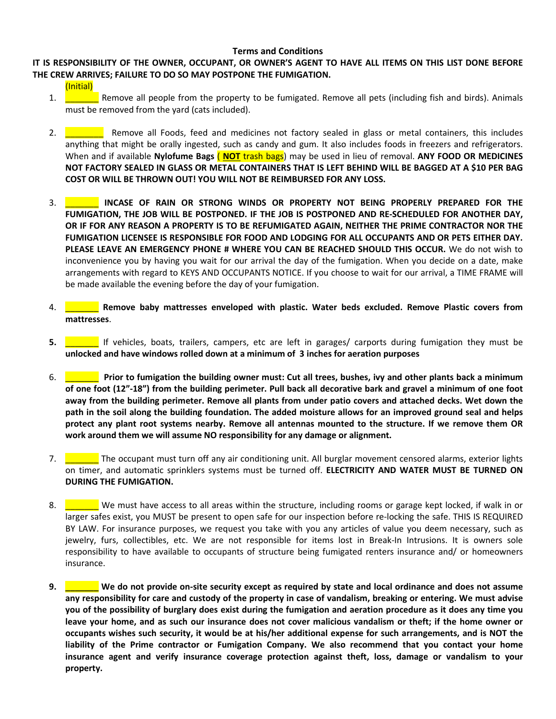#### **Terms and Conditions**

### **IT IS RESPONSIBILITY OF THE OWNER, OCCUPANT, OR OWNER'S AGENT TO HAVE ALL ITEMS ON THIS LIST DONE BEFORE THE CREW ARRIVES; FAILURE TO DO SO MAY POSTPONE THE FUMIGATION.**

(Initial)

- 1. **Example 1.** Remove all people from the property to be fumigated. Remove all pets (including fish and birds). Animals must be removed from the yard (cats included).
- 2. **Example 2.** Remove all Foods, feed and medicines not factory sealed in glass or metal containers, this includes anything that might be orally ingested, such as candy and gum. It also includes foods in freezers and refrigerators. When and if available **Nylofume Bags** ( **NOT** trash bags) may be used in lieu of removal. **ANY FOOD OR MEDICINES NOT FACTORY SEALED IN GLASS OR METAL CONTAINERS THAT IS LEFT BEHIND WILL BE BAGGED AT A \$10 PER BAG COST OR WILL BE THROWN OUT! YOU WILL NOT BE REIMBURSED FOR ANY LOSS.**
- 3. \_\_\_\_\_\_\_ **INCASE OF RAIN OR STRONG WINDS OR PROPERTY NOT BEING PROPERLY PREPARED FOR THE FUMIGATION, THE JOB WILL BE POSTPONED. IF THE JOB IS POSTPONED AND RE-SCHEDULED FOR ANOTHER DAY, OR IF FOR ANY REASON A PROPERTY IS TO BE REFUMIGATED AGAIN, NEITHER THE PRIME CONTRACTOR NOR THE FUMIGATION LICENSEE IS RESPONSIBLE FOR FOOD AND LODGING FOR ALL OCCUPANTS AND OR PETS EITHER DAY. PLEASE LEAVE AN EMERGENCY PHONE # WHERE YOU CAN BE REACHED SHOULD THIS OCCUR.** We do not wish to inconvenience you by having you wait for our arrival the day of the fumigation. When you decide on a date, make arrangements with regard to KEYS AND OCCUPANTS NOTICE. If you choose to wait for our arrival, a TIME FRAME will be made available the evening before the day of your fumigation.
- 4. \_\_\_\_\_\_\_ **Remove baby mattresses enveloped with plastic. Water beds excluded. Remove Plastic covers from mattresses**.
- **5. If vehicles, boats, trailers, campers, etc are left in garages/ carports during fumigation they must be unlocked and have windows rolled down at a minimum of 3 inches for aeration purposes**
- 6. \_\_\_\_\_\_\_ **Prior to fumigation the building owner must: Cut all trees, bushes, ivy and other plants back a minimum of one foot (12"-18") from the building perimeter. Pull back all decorative bark and gravel a minimum of one foot away from the building perimeter. Remove all plants from under patio covers and attached decks. Wet down the path in the soil along the building foundation. The added moisture allows for an improved ground seal and helps protect any plant root systems nearby. Remove all antennas mounted to the structure. If we remove them OR work around them we will assume NO responsibility for any damage or alignment.**
- 7. The occupant must turn off any air conditioning unit. All burglar movement censored alarms, exterior lights on timer, and automatic sprinklers systems must be turned off. **ELECTRICITY AND WATER MUST BE TURNED ON DURING THE FUMIGATION.**
- 8. Now the must have access to all areas within the structure, including rooms or garage kept locked, if walk in or larger safes exist, you MUST be present to open safe for our inspection before re-locking the safe. THIS IS REQUIRED BY LAW. For insurance purposes, we request you take with you any articles of value you deem necessary, such as jewelry, furs, collectibles, etc. We are not responsible for items lost in Break-In Intrusions. It is owners sole responsibility to have available to occupants of structure being fumigated renters insurance and/ or homeowners insurance.
- **9. \_\_\_\_\_\_\_ We do not provide on-site security except as required by state and local ordinance and does not assume any responsibility for care and custody of the property in case of vandalism, breaking or entering. We must advise you of the possibility of burglary does exist during the fumigation and aeration procedure as it does any time you leave your home, and as such our insurance does not cover malicious vandalism or theft; if the home owner or occupants wishes such security, it would be at his/her additional expense for such arrangements, and is NOT the liability of the Prime contractor or Fumigation Company. We also recommend that you contact your home insurance agent and verify insurance coverage protection against theft, loss, damage or vandalism to your property.**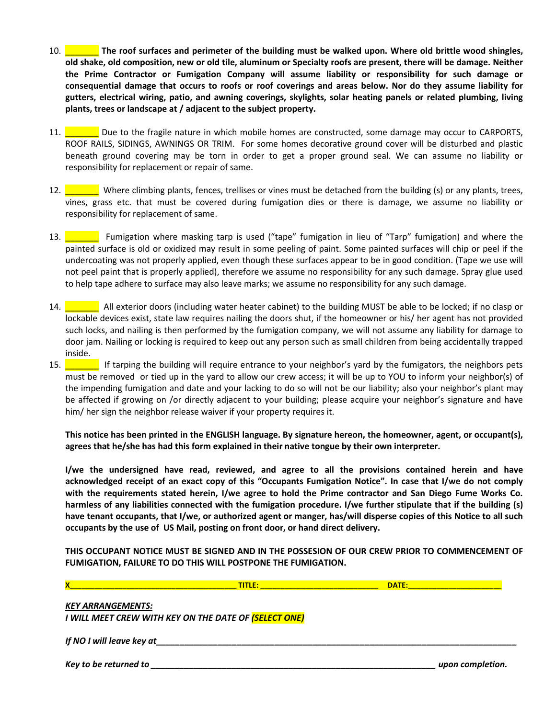- 10. \_\_\_\_\_\_\_ **The roof surfaces and perimeter of the building must be walked upon. Where old brittle wood shingles, old shake, old composition, new or old tile, aluminum or Specialty roofs are present, there will be damage. Neither the Prime Contractor or Fumigation Company will assume liability or responsibility for such damage or consequential damage that occurs to roofs or roof coverings and areas below. Nor do they assume liability for gutters, electrical wiring, patio, and awning coverings, skylights, solar heating panels or related plumbing, living plants, trees or landscape at / adjacent to the subject property.**
- 11. Due to the fragile nature in which mobile homes are constructed, some damage may occur to CARPORTS, ROOF RAILS, SIDINGS, AWNINGS OR TRIM. For some homes decorative ground cover will be disturbed and plastic beneath ground covering may be torn in order to get a proper ground seal. We can assume no liability or responsibility for replacement or repair of same.
- 12. \_\_\_\_\_\_\_ Where climbing plants, fences, trellises or vines must be detached from the building (s) or any plants, trees, vines, grass etc. that must be covered during fumigation dies or there is damage, we assume no liability or responsibility for replacement of same.
- 13. \_\_\_\_\_\_\_ Fumigation where masking tarp is used ("tape" fumigation in lieu of "Tarp" fumigation) and where the painted surface is old or oxidized may result in some peeling of paint. Some painted surfaces will chip or peel if the undercoating was not properly applied, even though these surfaces appear to be in good condition. (Tape we use will not peel paint that is properly applied), therefore we assume no responsibility for any such damage. Spray glue used to help tape adhere to surface may also leave marks; we assume no responsibility for any such damage.
- 14. **All exterior doors (including water heater cabinet) to the building MUST be able to be locked; if no clasp or** lockable devices exist, state law requires nailing the doors shut, if the homeowner or his/ her agent has not provided such locks, and nailing is then performed by the fumigation company, we will not assume any liability for damage to door jam. Nailing or locking is required to keep out any person such as small children from being accidentally trapped inside.
- 15. **Example 15.** If tarping the building will require entrance to your neighbor's yard by the fumigators, the neighbors pets must be removed or tied up in the yard to allow our crew access; it will be up to YOU to inform your neighbor(s) of the impending fumigation and date and your lacking to do so will not be our liability; also your neighbor's plant may be affected if growing on /or directly adjacent to your building; please acquire your neighbor's signature and have him/ her sign the neighbor release waiver if your property requires it.

**This notice has been printed in the ENGLISH language. By signature hereon, the homeowner, agent, or occupant(s), agrees that he/she has had this form explained in their native tongue by their own interpreter.** 

**I/we the undersigned have read, reviewed, and agree to all the provisions contained herein and have acknowledged receipt of an exact copy of this "Occupants Fumigation Notice". In case that I/we do not comply with the requirements stated herein, I/we agree to hold the Prime contractor and San Diego Fume Works Co. harmless of any liabilities connected with the fumigation procedure. I/we further stipulate that if the building (s) have tenant occupants, that I/we, or authorized agent or manger, has/will disperse copies of this Notice to all such occupants by the use of US Mail, posting on front door, or hand direct delivery.** 

**THIS OCCUPANT NOTICE MUST BE SIGNED AND IN THE POSSESION OF OUR CREW PRIOR TO COMMENCEMENT OF FUMIGATION, FAILURE TO DO THIS WILL POSTPONE THE FUMIGATION.** 

|                           | <b>TITLE:</b>                                                | <b>DATE:</b>     |  |
|---------------------------|--------------------------------------------------------------|------------------|--|
| <b>KEY ARRANGEMENTS:</b>  | I WILL MEET CREW WITH KEY ON THE DATE OF <b>(SELECT ONE)</b> |                  |  |
| If NO I will leave key at |                                                              |                  |  |
| Key to be returned to     |                                                              | upon completion. |  |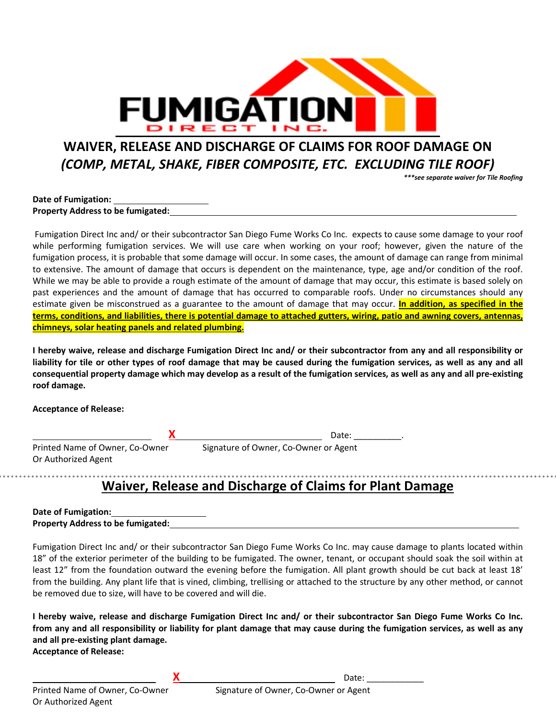

# **WAIVER, RELEASE AND DISCHARGE OF CLAIMS FOR ROOF DAMAGE ON**  *(COMP, METAL, SHAKE, FIBER COMPOSITE, ETC. EXCLUDING TILE ROOF)*

*\*\*\*see separate waiver for Tile Roofing*

#### **Date of Fumigation: Property Address to be fumigated:**

 Fumigation Direct Inc and/ or their subcontractor San Diego Fume Works Co Inc. expects to cause some damage to your roof while performing fumigation services. We will use care when working on your roof; however, given the nature of the fumigation process, it is probable that some damage will occur. In some cases, the amount of damage can range from minimal to extensive. The amount of damage that occurs is dependent on the maintenance, type, age and/or condition of the roof. While we may be able to provide a rough estimate of the amount of damage that may occur, this estimate is based solely on past experiences and the amount of damage that has occurred to comparable roofs. Under no circumstances should any estimate given be misconstrued as a guarantee to the amount of damage that may occur. **In addition, as specified in the terms, conditions, and liabilities, there is potential damage to attached gutters, wiring, patio and awning covers, antennas, chimneys, solar heating panels and related plumbing.**

**I hereby waive, release and discharge Fumigation Direct Inc and/ or their subcontractor from any and all responsibility or liability for tile or other types of roof damage that may be caused during the fumigation services, as well as any and all consequential property damage which may develop as a result of the fumigation services, as well as any and all pre-existing roof damage.** 

**Acceptance of Release:** 

**X** Date: \_\_\_\_\_\_\_\_\_\_.

Or Authorized Agent

Printed Name of Owner, Co-Owner Signature of Owner, Co-Owner or Agent

# **Waiver, Release and Discharge of Claims for Plant Damage**

**Date of Fumigation: Property Address to be fumigated:**

Fumigation Direct Inc and/ or their subcontractor San Diego Fume Works Co Inc. may cause damage to plants located within 18" of the exterior perimeter of the building to be fumigated. The owner, tenant, or occupant should soak the soil within at least 12" from the foundation outward the evening before the fumigation. All plant growth should be cut back at least 18' from the building. Any plant life that is vined, climbing, trellising or attached to the structure by any other method, or cannot be removed due to size, will have to be covered and will die.

**I hereby waive, release and discharge Fumigation Direct Inc and/ or their subcontractor San Diego Fume Works Co Inc. from any and all responsibility or liability for plant damage that may cause during the fumigation services, as well as any and all pre-existing plant damage.** 

**Acceptance of Release:** 

**X** Date: \_\_\_\_\_\_\_\_\_\_\_\_

Printed Name of Owner, Co-Owner Signature of Owner, Co-Owner or Agent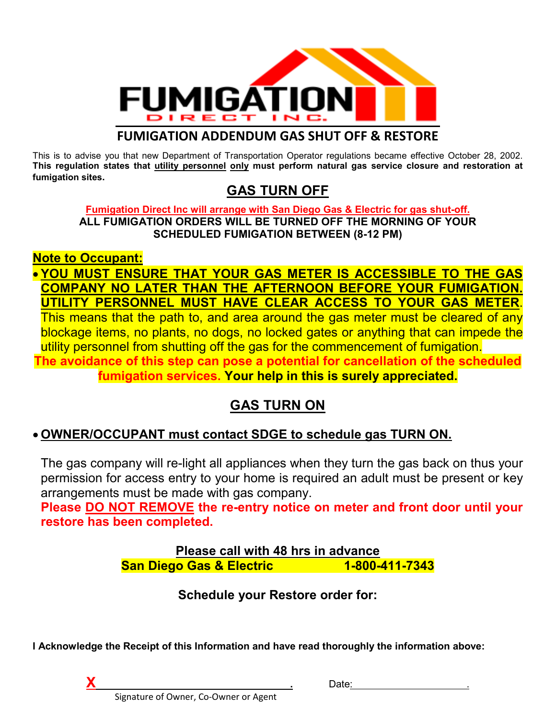

### **FUMIGATION ADDENDUM GAS SHUT OFF & RESTORE**

This is to advise you that new Department of Transportation Operator regulations became effective October 28, 2002. **This regulation states that utility personnel only must perform natural gas service closure and restoration at fumigation sites.** 

## **GAS TURN OFF**

### **Fumigation Direct Inc will arrange with San Diego Gas & Electric for gas shut-off. ALL FUMIGATION ORDERS WILL BE TURNED OFF THE MORNING OF YOUR SCHEDULED FUMIGATION BETWEEN (8-12 PM)**

## **Note to Occupant:**

## • **YOU MUST ENSURE THAT YOUR GAS METER IS ACCESSIBLE TO THE GAS COMPANY NO LATER THAN THE AFTERNOON BEFORE YOUR FUMIGATION. UTILITY PERSONNEL MUST HAVE CLEAR ACCESS TO YOUR GAS METER**.

This means that the path to, and area around the gas meter must be cleared of any blockage items, no plants, no dogs, no locked gates or anything that can impede the utility personnel from shutting off the gas for the commencement of fumigation. **The avoidance of this step can pose a potential for cancellation of the scheduled fumigation services. Your help in this is surely appreciated.**

# **GAS TURN ON**

## • **OWNER/OCCUPANT must contact SDGE to schedule gas TURN ON.**

The gas company will re-light all appliances when they turn the gas back on thus your permission for access entry to your home is required an adult must be present or key arrangements must be made with gas company.

**Please DO NOT REMOVE the re-entry notice on meter and front door until your restore has been completed.** 

> **Please call with 48 hrs in advance San Diego Gas & Electric 1-800-411-7343**

> > **Schedule your Restore order for:**

**I Acknowledge the Receipt of this Information and have read thoroughly the information above:** 



**X .** Date: .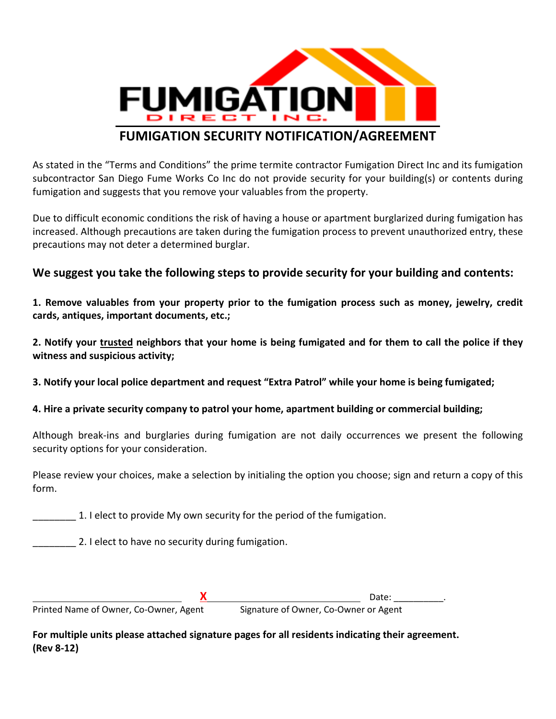

## **FUMIGATION SECURITY NOTIFICATION/AGREEMENT**

As stated in the "Terms and Conditions" the prime termite contractor Fumigation Direct Inc and its fumigation subcontractor San Diego Fume Works Co Inc do not provide security for your building(s) or contents during fumigation and suggests that you remove your valuables from the property.

Due to difficult economic conditions the risk of having a house or apartment burglarized during fumigation has increased. Although precautions are taken during the fumigation process to prevent unauthorized entry, these precautions may not deter a determined burglar.

### **We suggest you take the following steps to provide security for your building and contents:**

**1. Remove valuables from your property prior to the fumigation process such as money, jewelry, credit cards, antiques, important documents, etc.;** 

**2. Notify your trusted neighbors that your home is being fumigated and for them to call the police if they witness and suspicious activity;** 

**3. Notify your local police department and request "Extra Patrol" while your home is being fumigated;** 

**4. Hire a private security company to patrol your home, apartment building or commercial building;** 

Although break-ins and burglaries during fumigation are not daily occurrences we present the following security options for your consideration.

Please review your choices, make a selection by initialing the option you choose; sign and return a copy of this form.

\_\_\_\_\_\_\_\_ 1. I elect to provide My own security for the period of the fumigation.

2. I elect to have no security during fumigation.

Printed Name of Owner, Co-Owner, Agent

**X** Date: \_\_\_\_\_\_\_\_\_\_.

**For multiple units please attached signature pages for all residents indicating their agreement. (Rev 8-12)**